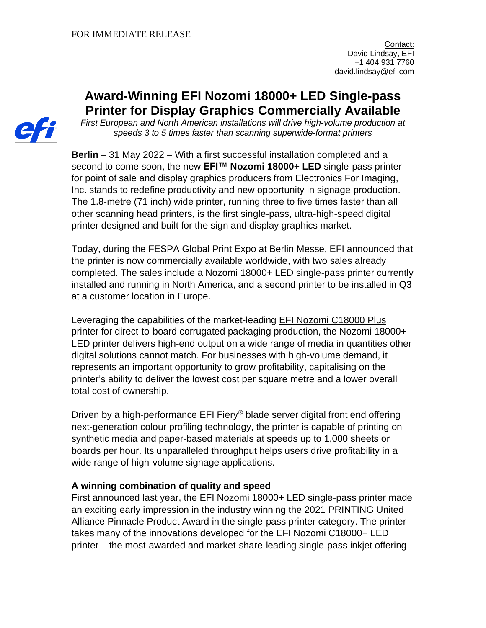# **Award-Winning EFI Nozomi 18000+ LED Single-pass Printer for Display Graphics Commercially Available**

*First European and North American installations will drive high-volume production at speeds 3 to 5 times faster than scanning superwide-format printers*

**Berlin** – 31 May 2022 – With a first successful installation completed and a second to come soon, the new **EFI™ Nozomi 18000+ LED** single-pass printer for point of sale and display graphics producers from **Electronics For Imaging**, Inc. stands to redefine productivity and new opportunity in signage production. The 1.8-metre (71 inch) wide printer, running three to five times faster than all other scanning head printers, is the first single-pass, ultra-high-speed digital printer designed and built for the sign and display graphics market.

Today, during the FESPA Global Print Expo at Berlin Messe, EFI announced that the printer is now commercially available worldwide, with two sales already completed. The sales include a Nozomi 18000+ LED single-pass printer currently installed and running in North America, and a second printer to be installed in Q3 at a customer location in Europe.

Leveraging the capabilities of the market-leading EFI Nozomi [C18000](https://www.efi.com/products/inkjet-printing-and-proofing/nozomi-single-pass-printer-for-corrugated/efi-nozomi-c18000/overview/?utm_source=press_release&utm_medium=email&utm_campaign=nozomi_dg) Plus printer for direct-to-board corrugated packaging production, the Nozomi 18000+ LED printer delivers high-end output on a wide range of media in quantities other digital solutions cannot match. For businesses with high-volume demand, it represents an important opportunity to grow profitability, capitalising on the printer's ability to deliver the lowest cost per square metre and a lower overall total cost of ownership.

Driven by a high-performance EFI Fiery<sup>®</sup> blade server digital front end offering next-generation colour profiling technology, the printer is capable of printing on synthetic media and paper-based materials at speeds up to 1,000 sheets or boards per hour. Its unparalleled throughput helps users drive profitability in a wide range of high-volume signage applications.

### **A winning combination of quality and speed**

First announced last year, the EFI Nozomi 18000+ LED single-pass printer made an exciting early impression in the industry winning the 2021 PRINTING United Alliance Pinnacle Product Award in the single-pass printer category. The printer takes many of the innovations developed for the EFI Nozomi C18000+ LED printer – the most-awarded and market-share-leading single-pass inkjet offering

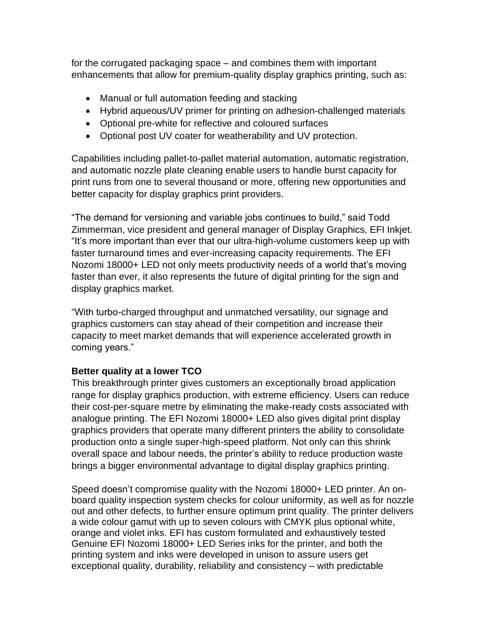for the corrugated packaging space – and combines them with important enhancements that allow for premium-quality display graphics printing, such as:

- Manual or full automation feeding and stacking
- Hybrid aqueous/UV primer for printing on adhesion-challenged materials
- Optional pre-white for reflective and coloured surfaces
- Optional post UV coater for weatherability and UV protection.

Capabilities including pallet-to-pallet material automation, automatic registration, and automatic nozzle plate cleaning enable users to handle burst capacity for print runs from one to several thousand or more, offering new opportunities and better capacity for display graphics print providers.

"The demand for versioning and variable jobs continues to build," said Todd Zimmerman, vice president and general manager of Display Graphics, EFI Inkjet. "It's more important than ever that our ultra-high-volume customers keep up with faster turnaround times and ever-increasing capacity requirements. The EFI Nozomi 18000+ LED not only meets productivity needs of a world that's moving faster than ever, it also represents the future of digital printing for the sign and display graphics market.

"With turbo-charged throughput and unmatched versatility, our signage and graphics customers can stay ahead of their competition and increase their capacity to meet market demands that will experience accelerated growth in coming years."

## **Better quality at a lower TCO**

This breakthrough printer gives customers an exceptionally broad application range for display graphics production, with extreme efficiency. Users can reduce their cost-per-square metre by eliminating the make-ready costs associated with analogue printing. The EFI Nozomi 18000+ LED also gives digital print display graphics providers that operate many different printers the ability to consolidate production onto a single super-high-speed platform. Not only can this shrink overall space and labour needs, the printer's ability to reduce production waste brings a bigger environmental advantage to digital display graphics printing.

Speed doesn't compromise quality with the Nozomi 18000+ LED printer. An onboard quality inspection system checks for colour uniformity, as well as for nozzle out and other defects, to further ensure optimum print quality. The printer delivers a wide colour gamut with up to seven colours with CMYK plus optional white, orange and violet inks. EFI has custom formulated and exhaustively tested Genuine EFI Nozomi 18000+ LED Series inks for the printer, and both the printing system and inks were developed in unison to assure users get exceptional quality, durability, reliability and consistency – with predictable